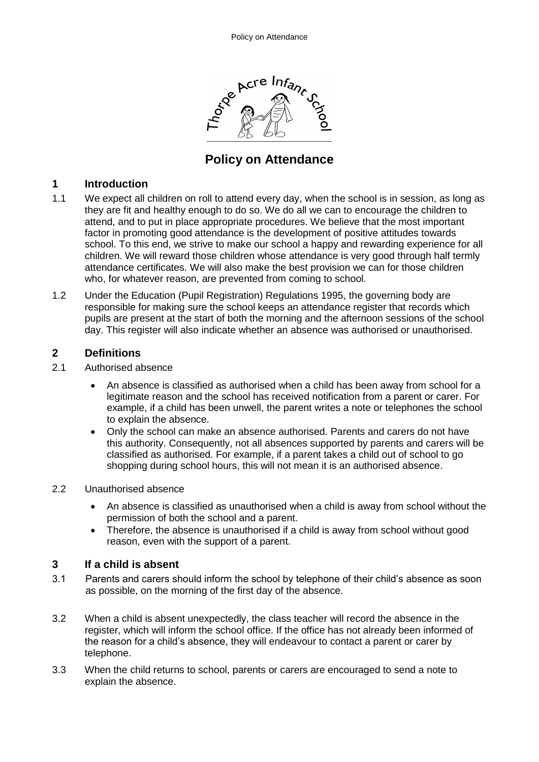

# **Policy on Attendance**

## **1 Introduction**

- 1.1 We expect all children on roll to attend every day, when the school is in session, as long as they are fit and healthy enough to do so. We do all we can to encourage the children to attend, and to put in place appropriate procedures. We believe that the most important factor in promoting good attendance is the development of positive attitudes towards school. To this end, we strive to make our school a happy and rewarding experience for all children. We will reward those children whose attendance is very good through half termly attendance certificates. We will also make the best provision we can for those children who, for whatever reason, are prevented from coming to school.
- 1.2 Under the Education (Pupil Registration) Regulations 1995, the governing body are responsible for making sure the school keeps an attendance register that records which pupils are present at the start of both the morning and the afternoon sessions of the school day. This register will also indicate whether an absence was authorised or unauthorised.

# **2 Definitions**

- 2.1 Authorised absence
	- An absence is classified as authorised when a child has been away from school for a legitimate reason and the school has received notification from a parent or carer. For example, if a child has been unwell, the parent writes a note or telephones the school to explain the absence.
	- Only the school can make an absence authorised. Parents and carers do not have this authority. Consequently, not all absences supported by parents and carers will be classified as authorised. For example, if a parent takes a child out of school to go shopping during school hours, this will not mean it is an authorised absence.
- 2.2 Unauthorised absence
	- An absence is classified as unauthorised when a child is away from school without the permission of both the school and a parent.
	- Therefore, the absence is unauthorised if a child is away from school without good reason, even with the support of a parent.

#### **3 If a child is absent**

- 3.1 Parents and carers should inform the school by telephone of their child's absence as soon as possible, on the morning of the first day of the absence.
- 3.2 When a child is absent unexpectedly, the class teacher will record the absence in the register, which will inform the school office. If the office has not already been informed of the reason for a child's absence, they will endeavour to contact a parent or carer by telephone.
- 3.3 When the child returns to school, parents or carers are encouraged to send a note to explain the absence.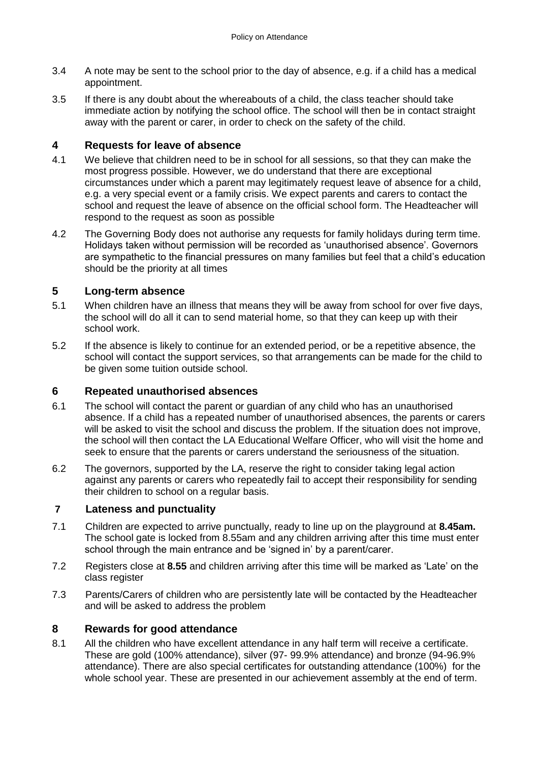- 3.4 A note may be sent to the school prior to the day of absence, e.g. if a child has a medical appointment.
- 3.5 If there is any doubt about the whereabouts of a child, the class teacher should take immediate action by notifying the school office. The school will then be in contact straight away with the parent or carer, in order to check on the safety of the child.

## **4 Requests for leave of absence**

- 4.1 We believe that children need to be in school for all sessions, so that they can make the most progress possible. However, we do understand that there are exceptional circumstances under which a parent may legitimately request leave of absence for a child, e.g. a very special event or a family crisis. We expect parents and carers to contact the school and request the leave of absence on the official school form. The Headteacher will respond to the request as soon as possible
- 4.2 The Governing Body does not authorise any requests for family holidays during term time. Holidays taken without permission will be recorded as 'unauthorised absence'. Governors are sympathetic to the financial pressures on many families but feel that a child's education should be the priority at all times

# **5 Long-term absence**

- 5.1 When children have an illness that means they will be away from school for over five days, the school will do all it can to send material home, so that they can keep up with their school work.
- 5.2 If the absence is likely to continue for an extended period, or be a repetitive absence, the school will contact the support services, so that arrangements can be made for the child to be given some tuition outside school.

#### **6 Repeated unauthorised absences**

- 6.1 The school will contact the parent or guardian of any child who has an unauthorised absence. If a child has a repeated number of unauthorised absences, the parents or carers will be asked to visit the school and discuss the problem. If the situation does not improve, the school will then contact the LA Educational Welfare Officer, who will visit the home and seek to ensure that the parents or carers understand the seriousness of the situation.
- 6.2 The governors, supported by the LA, reserve the right to consider taking legal action against any parents or carers who repeatedly fail to accept their responsibility for sending their children to school on a regular basis.

#### **7 Lateness and punctuality**

- 7.1 Children are expected to arrive punctually, ready to line up on the playground at **8.45am.** The school gate is locked from 8.55am and any children arriving after this time must enter school through the main entrance and be 'signed in' by a parent/carer.
- 7.2 Registers close at **8.55** and children arriving after this time will be marked as 'Late' on the class register
- 7.3 Parents/Carers of children who are persistently late will be contacted by the Headteacher and will be asked to address the problem

# **8 Rewards for good attendance**

8.1 All the children who have excellent attendance in any half term will receive a certificate. These are gold (100% attendance), silver (97- 99.9% attendance) and bronze (94-96.9% attendance). There are also special certificates for outstanding attendance (100%) for the whole school year. These are presented in our achievement assembly at the end of term.